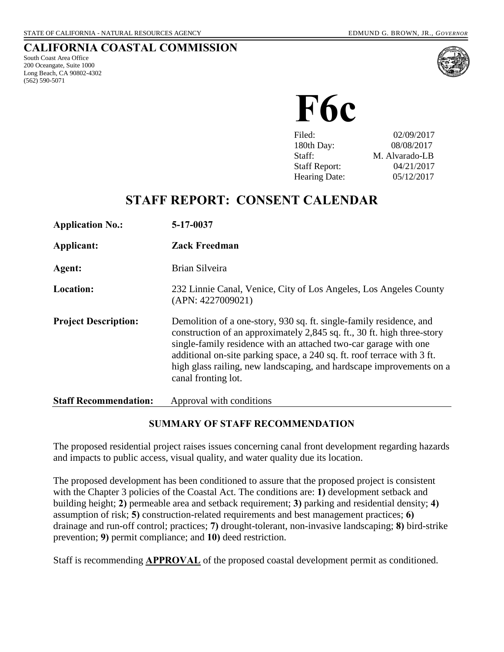#### **CALIFORNIA COASTAL COMMISSION**

South Coast Area Office 200 Oceangate, Suite 1000 Long Beach, CA 90802-4302 (562) 590-5071



**F6c**

| Filed:               | 02/09/2017     |
|----------------------|----------------|
| 180th Day:           | 08/08/2017     |
| Staff:               | M. Alvarado-LB |
| <b>Staff Report:</b> | 04/21/2017     |
| <b>Hearing Date:</b> | 05/12/2017     |

# **STAFF REPORT: CONSENT CALENDAR**

| <b>Application No.:</b>      | 5-17-0037                                                                                                                                                                                                                                                                                                                                                                                    |
|------------------------------|----------------------------------------------------------------------------------------------------------------------------------------------------------------------------------------------------------------------------------------------------------------------------------------------------------------------------------------------------------------------------------------------|
| Applicant:                   | <b>Zack Freedman</b>                                                                                                                                                                                                                                                                                                                                                                         |
| Agent:                       | Brian Silveira                                                                                                                                                                                                                                                                                                                                                                               |
| Location:                    | 232 Linnie Canal, Venice, City of Los Angeles, Los Angeles County<br>(APN: 4227009021)                                                                                                                                                                                                                                                                                                       |
| <b>Project Description:</b>  | Demolition of a one-story, 930 sq. ft. single-family residence, and<br>construction of an approximately 2,845 sq. ft., 30 ft. high three-story<br>single-family residence with an attached two-car garage with one<br>additional on-site parking space, a 240 sq. ft. roof terrace with 3 ft.<br>high glass railing, new landscaping, and hardscape improvements on a<br>canal fronting lot. |
| <b>Staff Recommendation:</b> | Approval with conditions                                                                                                                                                                                                                                                                                                                                                                     |

#### **SUMMARY OF STAFF RECOMMENDATION**

The proposed residential project raises issues concerning canal front development regarding hazards and impacts to public access, visual quality, and water quality due its location.

The proposed development has been conditioned to assure that the proposed project is consistent with the Chapter 3 policies of the Coastal Act. The conditions are: **1)** development setback and building height; **2)** permeable area and setback requirement; **3)** parking and residential density; **4)**  assumption of risk; **5)** construction-related requirements and best management practices; **6)** drainage and run-off control; practices; **7)** drought-tolerant, non-invasive landscaping; **8)** bird-strike prevention; **9)** permit compliance; and **10)** deed restriction.

Staff is recommending **APPROVAL** of the proposed coastal development permit as conditioned.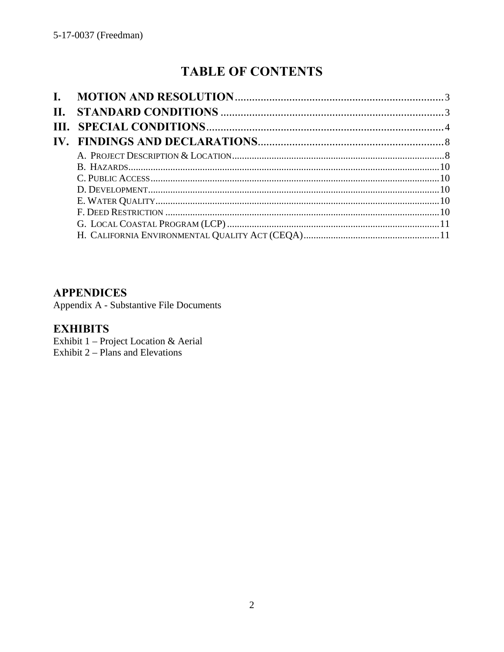# **TABLE OF CONTENTS**

| П. |  |
|----|--|
|    |  |
|    |  |
|    |  |
|    |  |
|    |  |
|    |  |
|    |  |
|    |  |
|    |  |
|    |  |

### **APPENDICES**

Appendix A - Substantive File Documents

# **EXHIBITS**

Exhibit 1 - Project Location & Aerial Exhibit  $2$  – Plans and Elevations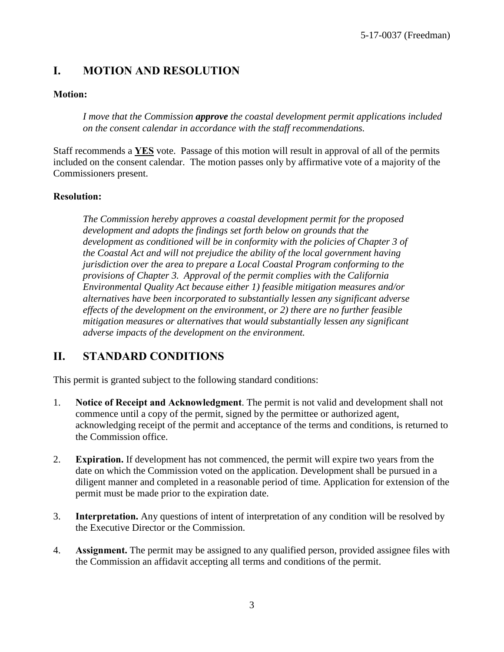# <span id="page-2-0"></span>**I. MOTION AND RESOLUTION**

#### **Motion:**

*I move that the Commission approve the coastal development permit applications included on the consent calendar in accordance with the staff recommendations.*

Staff recommends a **YES** vote. Passage of this motion will result in approval of all of the permits included on the consent calendar. The motion passes only by affirmative vote of a majority of the Commissioners present.

#### **Resolution:**

*The Commission hereby approves a coastal development permit for the proposed development and adopts the findings set forth below on grounds that the development as conditioned will be in conformity with the policies of Chapter 3 of the Coastal Act and will not prejudice the ability of the local government having jurisdiction over the area to prepare a Local Coastal Program conforming to the provisions of Chapter 3. Approval of the permit complies with the California Environmental Quality Act because either 1) feasible mitigation measures and/or alternatives have been incorporated to substantially lessen any significant adverse effects of the development on the environment, or 2) there are no further feasible mitigation measures or alternatives that would substantially lessen any significant adverse impacts of the development on the environment.* 

# <span id="page-2-1"></span>**II. STANDARD CONDITIONS**

This permit is granted subject to the following standard conditions:

- 1. **Notice of Receipt and Acknowledgment**. The permit is not valid and development shall not commence until a copy of the permit, signed by the permittee or authorized agent, acknowledging receipt of the permit and acceptance of the terms and conditions, is returned to the Commission office.
- 2. **Expiration.** If development has not commenced, the permit will expire two years from the date on which the Commission voted on the application. Development shall be pursued in a diligent manner and completed in a reasonable period of time. Application for extension of the permit must be made prior to the expiration date.
- 3. **Interpretation.** Any questions of intent of interpretation of any condition will be resolved by the Executive Director or the Commission.
- 4. **Assignment.** The permit may be assigned to any qualified person, provided assignee files with the Commission an affidavit accepting all terms and conditions of the permit.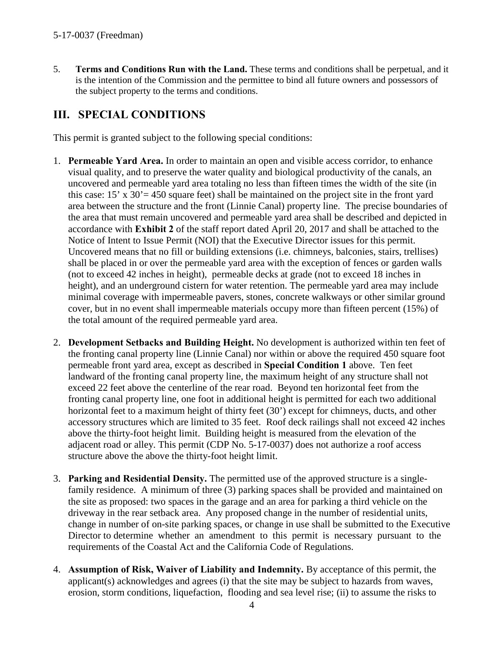5. **Terms and Conditions Run with the Land.** These terms and conditions shall be perpetual, and it is the intention of the Commission and the permittee to bind all future owners and possessors of the subject property to the terms and conditions.

# <span id="page-3-0"></span>**III. SPECIAL CONDITIONS**

This permit is granted subject to the following special conditions:

- 1. **Permeable Yard Area.** In order to maintain an open and visible access corridor, to enhance visual quality, and to preserve the water quality and biological productivity of the canals, an uncovered and permeable yard area totaling no less than fifteen times the width of the site (in this case: 15' x 30'= 450 square feet) shall be maintained on the project site in the front yard area between the structure and the front (Linnie Canal) property line. The precise boundaries of the area that must remain uncovered and permeable yard area shall be described and depicted in accordance with **[Exhibit 2](https://documents.coastal.ca.gov/reports/2017/5/F6c/F6c-5-2017-exhibits.pdf)** of the staff report dated April 20, 2017 and shall be attached to the Notice of Intent to Issue Permit (NOI) that the Executive Director issues for this permit. Uncovered means that no fill or building extensions (i.e. chimneys, balconies, stairs, trellises) shall be placed in or over the permeable yard area with the exception of fences or garden walls (not to exceed 42 inches in height), permeable decks at grade (not to exceed 18 inches in height), and an underground cistern for water retention. The permeable yard area may include minimal coverage with impermeable pavers, stones, concrete walkways or other similar ground cover, but in no event shall impermeable materials occupy more than fifteen percent (15%) of the total amount of the required permeable yard area.
- 2. **Development Setbacks and Building Height.** No development is authorized within ten feet of the fronting canal property line (Linnie Canal) nor within or above the required 450 square foot permeable front yard area, except as described in **Special Condition 1** above. Ten feet landward of the fronting canal property line, the maximum height of any structure shall not exceed 22 feet above the centerline of the rear road. Beyond ten horizontal feet from the fronting canal property line, one foot in additional height is permitted for each two additional horizontal feet to a maximum height of thirty feet (30') except for chimneys, ducts, and other accessory structures which are limited to 35 feet. Roof deck railings shall not exceed 42 inches above the thirty-foot height limit. Building height is measured from the elevation of the adjacent road or alley. This permit (CDP No. 5-17-0037) does not authorize a roof access structure above the above the thirty-foot height limit.
- 3. **Parking and Residential Density.** The permitted use of the approved structure is a singlefamily residence. A minimum of three (3) parking spaces shall be provided and maintained on the site as proposed: two spaces in the garage and an area for parking a third vehicle on the driveway in the rear setback area. Any proposed change in the number of residential units, change in number of on-site parking spaces, or change in use shall be submitted to the Executive Director to determine whether an amendment to this permit is necessary pursuant to the requirements of the Coastal Act and the California Code of Regulations.
- 4. **Assumption of Risk, Waiver of Liability and Indemnity.** By acceptance of this permit, the applicant(s) acknowledges and agrees (i) that the site may be subject to hazards from waves, erosion, storm conditions, liquefaction, flooding and sea level rise; (ii) to assume the risks to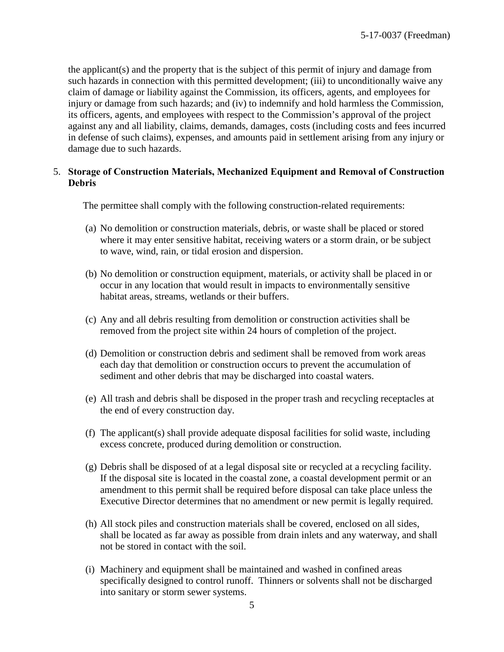the applicant(s) and the property that is the subject of this permit of injury and damage from such hazards in connection with this permitted development; (iii) to unconditionally waive any claim of damage or liability against the Commission, its officers, agents, and employees for injury or damage from such hazards; and (iv) to indemnify and hold harmless the Commission, its officers, agents, and employees with respect to the Commission's approval of the project against any and all liability, claims, demands, damages, costs (including costs and fees incurred in defense of such claims), expenses, and amounts paid in settlement arising from any injury or damage due to such hazards.

#### 5. **Storage of Construction Materials, Mechanized Equipment and Removal of Construction Debris**

The permittee shall comply with the following construction-related requirements:

- (a) No demolition or construction materials, debris, or waste shall be placed or stored where it may enter sensitive habitat, receiving waters or a storm drain, or be subject to wave, wind, rain, or tidal erosion and dispersion.
- (b) No demolition or construction equipment, materials, or activity shall be placed in or occur in any location that would result in impacts to environmentally sensitive habitat areas, streams, wetlands or their buffers.
- (c) Any and all debris resulting from demolition or construction activities shall be removed from the project site within 24 hours of completion of the project.
- (d) Demolition or construction debris and sediment shall be removed from work areas each day that demolition or construction occurs to prevent the accumulation of sediment and other debris that may be discharged into coastal waters.
- (e) All trash and debris shall be disposed in the proper trash and recycling receptacles at the end of every construction day.
- (f) The applicant(s) shall provide adequate disposal facilities for solid waste, including excess concrete, produced during demolition or construction.
- (g) Debris shall be disposed of at a legal disposal site or recycled at a recycling facility. If the disposal site is located in the coastal zone, a coastal development permit or an amendment to this permit shall be required before disposal can take place unless the Executive Director determines that no amendment or new permit is legally required.
- (h) All stock piles and construction materials shall be covered, enclosed on all sides, shall be located as far away as possible from drain inlets and any waterway, and shall not be stored in contact with the soil.
- (i) Machinery and equipment shall be maintained and washed in confined areas specifically designed to control runoff. Thinners or solvents shall not be discharged into sanitary or storm sewer systems.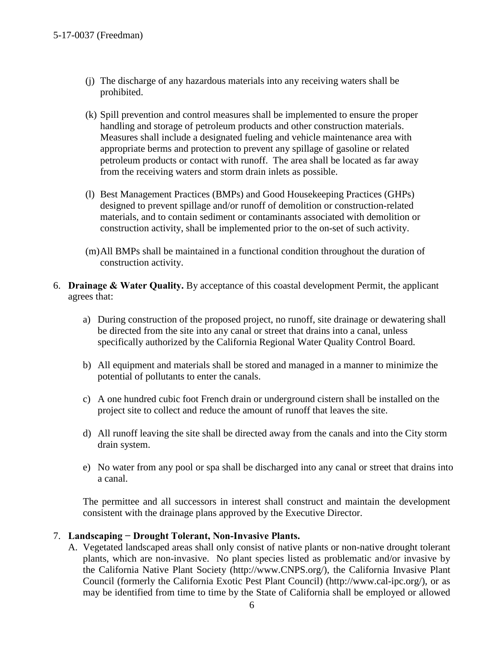- (j) The discharge of any hazardous materials into any receiving waters shall be prohibited.
- (k) Spill prevention and control measures shall be implemented to ensure the proper handling and storage of petroleum products and other construction materials. Measures shall include a designated fueling and vehicle maintenance area with appropriate berms and protection to prevent any spillage of gasoline or related petroleum products or contact with runoff. The area shall be located as far away from the receiving waters and storm drain inlets as possible.
- (l) Best Management Practices (BMPs) and Good Housekeeping Practices (GHPs) designed to prevent spillage and/or runoff of demolition or construction-related materials, and to contain sediment or contaminants associated with demolition or construction activity, shall be implemented prior to the on-set of such activity.
- (m)All BMPs shall be maintained in a functional condition throughout the duration of construction activity.
- 6. **Drainage & Water Quality.** By acceptance of this coastal development Permit, the applicant agrees that:
	- a) During construction of the proposed project, no runoff, site drainage or dewatering shall be directed from the site into any canal or street that drains into a canal, unless specifically authorized by the California Regional Water Quality Control Board.
	- b) All equipment and materials shall be stored and managed in a manner to minimize the potential of pollutants to enter the canals.
	- c) A one hundred cubic foot French drain or underground cistern shall be installed on the project site to collect and reduce the amount of runoff that leaves the site.
	- d) All runoff leaving the site shall be directed away from the canals and into the City storm drain system.
	- e) No water from any pool or spa shall be discharged into any canal or street that drains into a canal.

The permittee and all successors in interest shall construct and maintain the development consistent with the drainage plans approved by the Executive Director.

#### 7. **Landscaping − Drought Tolerant, Non-Invasive Plants.**

A. Vegetated landscaped areas shall only consist of native plants or non-native drought tolerant plants, which are non-invasive. No plant species listed as problematic and/or invasive by the California Native Plant Society (http://www.CNPS.org/), the California Invasive Plant Council (formerly the California Exotic Pest Plant Council) (http://www.cal-ipc.org/), or as may be identified from time to time by the State of California shall be employed or allowed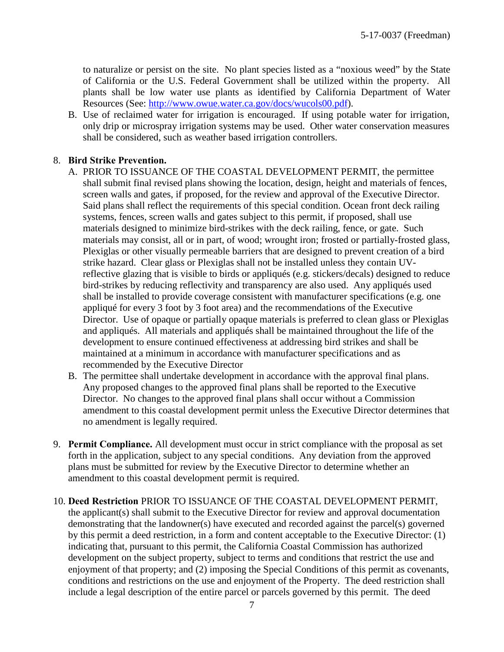to naturalize or persist on the site. No plant species listed as a "noxious weed" by the State of California or the U.S. Federal Government shall be utilized within the property. All plants shall be low water use plants as identified by California Department of Water Resources (See: [http://www.owue.water.ca.gov/docs/wucols00.pdf\)](http://www.owue.water.ca.gov/docs/wucols00.pdf).

B. Use of reclaimed water for irrigation is encouraged. If using potable water for irrigation, only drip or microspray irrigation systems may be used. Other water conservation measures shall be considered, such as weather based irrigation controllers.

#### 8. **Bird Strike Prevention.**

- A. PRIOR TO ISSUANCE OF THE COASTAL DEVELOPMENT PERMIT, the permittee shall submit final revised plans showing the location, design, height and materials of fences, screen walls and gates, if proposed, for the review and approval of the Executive Director. Said plans shall reflect the requirements of this special condition. Ocean front deck railing systems, fences, screen walls and gates subject to this permit, if proposed, shall use materials designed to minimize bird-strikes with the deck railing, fence, or gate. Such materials may consist, all or in part, of wood; wrought iron; frosted or partially-frosted glass, Plexiglas or other visually permeable barriers that are designed to prevent creation of a bird strike hazard. Clear glass or Plexiglas shall not be installed unless they contain UVreflective glazing that is visible to birds or appliqués (e.g. stickers/decals) designed to reduce bird-strikes by reducing reflectivity and transparency are also used. Any appliqués used shall be installed to provide coverage consistent with manufacturer specifications (e.g. one appliqué for every 3 foot by 3 foot area) and the recommendations of the Executive Director. Use of opaque or partially opaque materials is preferred to clean glass or Plexiglas and appliqués. All materials and appliqués shall be maintained throughout the life of the development to ensure continued effectiveness at addressing bird strikes and shall be maintained at a minimum in accordance with manufacturer specifications and as recommended by the Executive Director
- B. The permittee shall undertake development in accordance with the approval final plans. Any proposed changes to the approved final plans shall be reported to the Executive Director. No changes to the approved final plans shall occur without a Commission amendment to this coastal development permit unless the Executive Director determines that no amendment is legally required.
- 9. **Permit Compliance.** All development must occur in strict compliance with the proposal as set forth in the application, subject to any special conditions. Any deviation from the approved plans must be submitted for review by the Executive Director to determine whether an amendment to this coastal development permit is required.
- 10. **Deed Restriction** PRIOR TO ISSUANCE OF THE COASTAL DEVELOPMENT PERMIT, the applicant(s) shall submit to the Executive Director for review and approval documentation demonstrating that the landowner(s) have executed and recorded against the parcel(s) governed by this permit a deed restriction, in a form and content acceptable to the Executive Director: (1) indicating that, pursuant to this permit, the California Coastal Commission has authorized development on the subject property, subject to terms and conditions that restrict the use and enjoyment of that property; and (2) imposing the Special Conditions of this permit as covenants, conditions and restrictions on the use and enjoyment of the Property. The deed restriction shall include a legal description of the entire parcel or parcels governed by this permit. The deed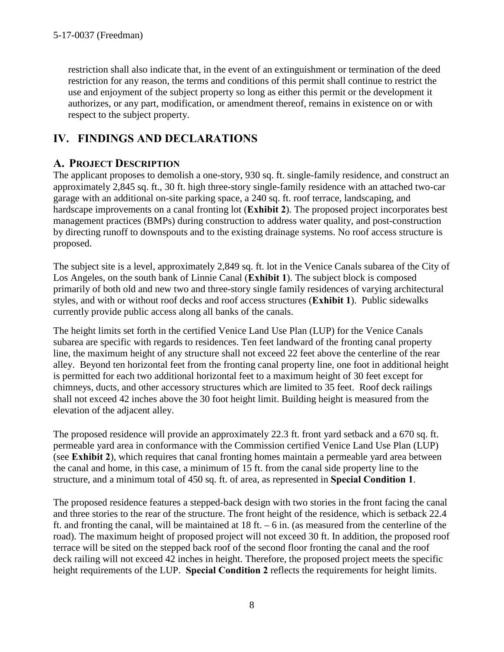restriction shall also indicate that, in the event of an extinguishment or termination of the deed restriction for any reason, the terms and conditions of this permit shall continue to restrict the use and enjoyment of the subject property so long as either this permit or the development it authorizes, or any part, modification, or amendment thereof, remains in existence on or with respect to the subject property.

# <span id="page-7-0"></span>**IV. FINDINGS AND DECLARATIONS**

### <span id="page-7-1"></span>**A. PROJECT DESCRIPTION**

The applicant proposes to demolish a one-story, 930 sq. ft. single-family residence, and construct an approximately 2,845 sq. ft., 30 ft. high three-story single-family residence with an attached two-car garage with an additional on-site parking space, a 240 sq. ft. roof terrace, landscaping, and hardscape improvements on a canal fronting lot (**[Exhibit 2](https://documents.coastal.ca.gov/reports/2017/5/F6c/F6c-5-2017-exhibits.pdf)**). The proposed project incorporates best management practices (BMPs) during construction to address water quality, and post-construction by directing runoff to downspouts and to the existing drainage systems. No roof access structure is proposed.

The subject site is a level, approximately 2,849 sq. ft. lot in the Venice Canals subarea of the City of Los Angeles, on the south bank of Linnie Canal (**[Exhibit 1](https://documents.coastal.ca.gov/reports/2017/5/F6c/F6c-5-2017-exhibits.pdf)**). The subject block is composed primarily of both old and new two and three-story single family residences of varying architectural styles, and with or without roof decks and roof access structures (**[Exhibit 1](https://documents.coastal.ca.gov/reports/2017/5/F6c/F6c-5-2017-exhibits.pdf)**). Public sidewalks currently provide public access along all banks of the canals.

The height limits set forth in the certified Venice Land Use Plan (LUP) for the Venice Canals subarea are specific with regards to residences. Ten feet landward of the fronting canal property line, the maximum height of any structure shall not exceed 22 feet above the centerline of the rear alley. Beyond ten horizontal feet from the fronting canal property line, one foot in additional height is permitted for each two additional horizontal feet to a maximum height of 30 feet except for chimneys, ducts, and other accessory structures which are limited to 35 feet. Roof deck railings shall not exceed 42 inches above the 30 foot height limit. Building height is measured from the elevation of the adjacent alley.

The proposed residence will provide an approximately 22.3 ft. front yard setback and a 670 sq. ft. permeable yard area in conformance with the Commission certified Venice Land Use Plan (LUP) (see **[Exhibit 2](https://documents.coastal.ca.gov/reports/2017/5/F6c/F6c-5-2017-exhibits.pdf)**), which requires that canal fronting homes maintain a permeable yard area between the canal and home, in this case, a minimum of 15 ft. from the canal side property line to the structure, and a minimum total of 450 sq. ft. of area, as represented in **Special Condition 1**.

The proposed residence features a stepped-back design with two stories in the front facing the canal and three stories to the rear of the structure. The front height of the residence, which is setback 22.4 ft. and fronting the canal, will be maintained at  $18$  ft.  $-6$  in. (as measured from the centerline of the road). The maximum height of proposed project will not exceed 30 ft. In addition, the proposed roof terrace will be sited on the stepped back roof of the second floor fronting the canal and the roof deck railing will not exceed 42 inches in height. Therefore, the proposed project meets the specific height requirements of the LUP. **Special Condition 2** reflects the requirements for height limits.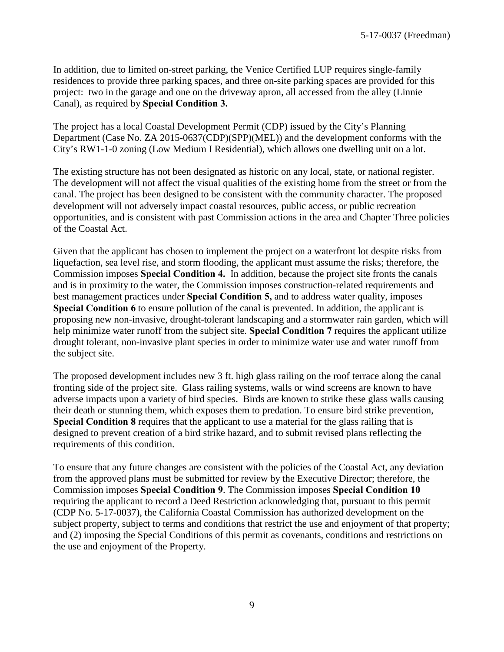In addition, due to limited on-street parking, the Venice Certified LUP requires single-family residences to provide three parking spaces, and three on-site parking spaces are provided for this project: two in the garage and one on the driveway apron, all accessed from the alley (Linnie Canal), as required by **Special Condition 3.** 

The project has a local Coastal Development Permit (CDP) issued by the City's Planning Department (Case No. ZA 2015-0637(CDP)(SPP)(MEL)) and the development conforms with the City's RW1-1-0 zoning (Low Medium I Residential), which allows one dwelling unit on a lot.

The existing structure has not been designated as historic on any local, state, or national register. The development will not affect the visual qualities of the existing home from the street or from the canal. The project has been designed to be consistent with the community character. The proposed development will not adversely impact coastal resources, public access, or public recreation opportunities, and is consistent with past Commission actions in the area and Chapter Three policies of the Coastal Act.

Given that the applicant has chosen to implement the project on a waterfront lot despite risks from liquefaction, sea level rise, and storm flooding, the applicant must assume the risks; therefore, the Commission imposes **Special Condition 4.** In addition, because the project site fronts the canals and is in proximity to the water, the Commission imposes construction-related requirements and best management practices under **Special Condition 5,** and to address water quality, imposes **Special Condition 6** to ensure pollution of the canal is prevented. In addition, the applicant is proposing new non-invasive, drought-tolerant landscaping and a stormwater rain garden, which will help minimize water runoff from the subject site. **Special Condition 7** requires the applicant utilize drought tolerant, non-invasive plant species in order to minimize water use and water runoff from the subject site.

The proposed development includes new 3 ft. high glass railing on the roof terrace along the canal fronting side of the project site. Glass railing systems, walls or wind screens are known to have adverse impacts upon a variety of bird species. Birds are known to strike these glass walls causing their death or stunning them, which exposes them to predation. To ensure bird strike prevention, **Special Condition 8** requires that the applicant to use a material for the glass railing that is designed to prevent creation of a bird strike hazard, and to submit revised plans reflecting the requirements of this condition.

To ensure that any future changes are consistent with the policies of the Coastal Act, any deviation from the approved plans must be submitted for review by the Executive Director; therefore, the Commission imposes **Special Condition 9**. The Commission imposes **Special Condition 10** requiring the applicant to record a Deed Restriction acknowledging that, pursuant to this permit (CDP No. 5-17-0037), the California Coastal Commission has authorized development on the subject property, subject to terms and conditions that restrict the use and enjoyment of that property; and (2) imposing the Special Conditions of this permit as covenants, conditions and restrictions on the use and enjoyment of the Property.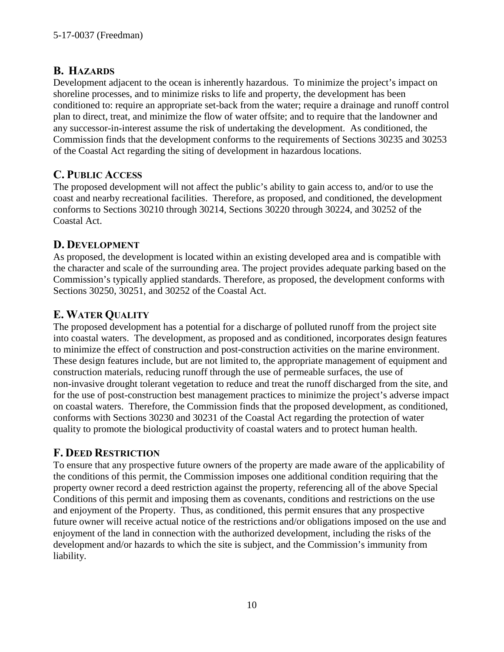### <span id="page-9-0"></span>**B. HAZARDS**

Development adjacent to the ocean is inherently hazardous. To minimize the project's impact on shoreline processes, and to minimize risks to life and property, the development has been conditioned to: require an appropriate set-back from the water; require a drainage and runoff control plan to direct, treat, and minimize the flow of water offsite; and to require that the landowner and any successor-in-interest assume the risk of undertaking the development. As conditioned, the Commission finds that the development conforms to the requirements of Sections 30235 and 30253 of the Coastal Act regarding the siting of development in hazardous locations.

### <span id="page-9-2"></span>**C. PUBLIC ACCESS**

The proposed development will not affect the public's ability to gain access to, and/or to use the coast and nearby recreational facilities. Therefore, as proposed, and conditioned, the development conforms to Sections 30210 through 30214, Sections 30220 through 30224, and 30252 of the Coastal Act.

### <span id="page-9-1"></span>**D. DEVELOPMENT**

As proposed, the development is located within an existing developed area and is compatible with the character and scale of the surrounding area. The project provides adequate parking based on the Commission's typically applied standards. Therefore, as proposed, the development conforms with Sections 30250, 30251, and 30252 of the Coastal Act.

# <span id="page-9-3"></span>**E. WATER QUALITY**

The proposed development has a potential for a discharge of polluted runoff from the project site into coastal waters. The development, as proposed and as conditioned, incorporates design features to minimize the effect of construction and post-construction activities on the marine environment. These design features include, but are not limited to, the appropriate management of equipment and construction materials, reducing runoff through the use of permeable surfaces, the use of non-invasive drought tolerant vegetation to reduce and treat the runoff discharged from the site, and for the use of post-construction best management practices to minimize the project's adverse impact on coastal waters. Therefore, the Commission finds that the proposed development, as conditioned, conforms with Sections 30230 and 30231 of the Coastal Act regarding the protection of water quality to promote the biological productivity of coastal waters and to protect human health.

### <span id="page-9-4"></span>**F. DEED RESTRICTION**

To ensure that any prospective future owners of the property are made aware of the applicability of the conditions of this permit, the Commission imposes one additional condition requiring that the property owner record a deed restriction against the property, referencing all of the above Special Conditions of this permit and imposing them as covenants, conditions and restrictions on the use and enjoyment of the Property. Thus, as conditioned, this permit ensures that any prospective future owner will receive actual notice of the restrictions and/or obligations imposed on the use and enjoyment of the land in connection with the authorized development, including the risks of the development and/or hazards to which the site is subject, and the Commission's immunity from liability.